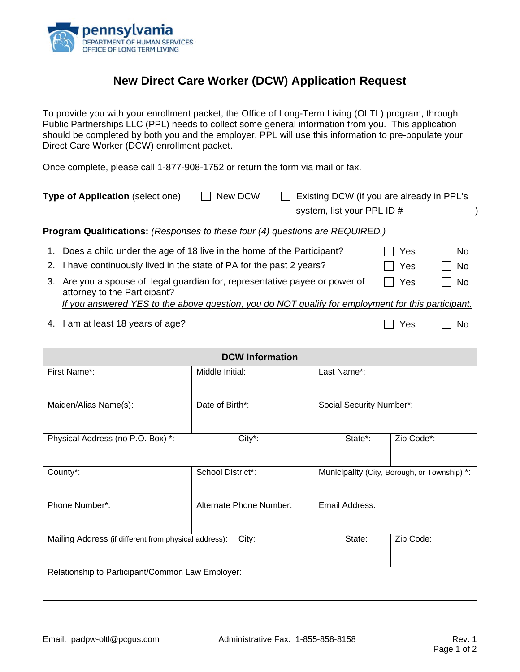

## **New Direct Care Worker (DCW) Application Request**

To provide you with your enrollment packet, the Office of Long-Term Living (OLTL) program, through Public Partnerships LLC (PPL) needs to collect some general information from you. This application should be completed by both you and the employer. PPL will use this information to pre-populate your Direct Care Worker (DCW) enrollment packet.

Once complete, please call 1-877-908-1752 or return the form via mail or fax.

|    | Type of Application (select one)                                                                          | New DCW | Existing DCW (if you are already in PPL's<br>system, list your PPL ID # |     |           |
|----|-----------------------------------------------------------------------------------------------------------|---------|-------------------------------------------------------------------------|-----|-----------|
|    | <b>Program Qualifications:</b> (Responses to these four (4) questions are REQUIRED.)                      |         |                                                                         |     |           |
|    | 1. Does a child under the age of 18 live in the home of the Participant?                                  |         |                                                                         | Yes | <b>No</b> |
|    | 2. I have continuously lived in the state of PA for the past 2 years?                                     |         |                                                                         | Yes | No        |
| 3. | Are you a spouse of, legal guardian for, representative payee or power of<br>attorney to the Participant? |         |                                                                         | Yes | <b>No</b> |
|    | If you answered YES to the above question, you do NOT qualify for employment for this participant.        |         |                                                                         |     |           |
| 4. | I am at least 18 years of age?                                                                            |         |                                                                         | Yes | No        |

| <b>DCW Information</b>                                |                         |        |                                              |                          |            |  |
|-------------------------------------------------------|-------------------------|--------|----------------------------------------------|--------------------------|------------|--|
| First Name*:                                          | Middle Initial:         |        |                                              | Last Name*:              |            |  |
|                                                       |                         |        |                                              |                          |            |  |
| Maiden/Alias Name(s):                                 | Date of Birth*:         |        |                                              | Social Security Number*: |            |  |
|                                                       |                         |        |                                              |                          |            |  |
| Physical Address (no P.O. Box) *:                     |                         | City*: |                                              | State*:                  | Zip Code*: |  |
|                                                       |                         |        |                                              |                          |            |  |
| County*:                                              | School District*:       |        | Municipality (City, Borough, or Township) *: |                          |            |  |
|                                                       |                         |        |                                              |                          |            |  |
| Phone Number*:                                        | Alternate Phone Number: |        | Email Address:                               |                          |            |  |
|                                                       |                         |        |                                              |                          |            |  |
| Mailing Address (if different from physical address): |                         | City:  |                                              | State:                   | Zip Code:  |  |
|                                                       |                         |        |                                              |                          |            |  |
| Relationship to Participant/Common Law Employer:      |                         |        |                                              |                          |            |  |
|                                                       |                         |        |                                              |                          |            |  |